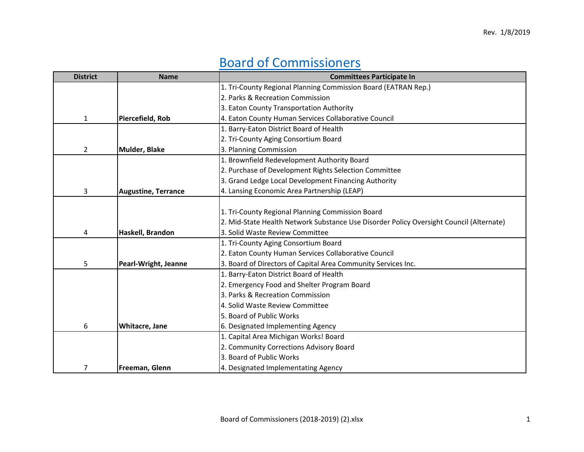## Board of Commissioners

| <b>District</b> | <b>Name</b>                | <b>Committees Participate In</b>                                                        |
|-----------------|----------------------------|-----------------------------------------------------------------------------------------|
|                 |                            | 1. Tri-County Regional Planning Commission Board (EATRAN Rep.)                          |
|                 |                            | 2. Parks & Recreation Commission                                                        |
|                 |                            | 3. Eaton County Transportation Authority                                                |
| 1               | Piercefield, Rob           | 4. Eaton County Human Services Collaborative Council                                    |
|                 |                            | 1. Barry-Eaton District Board of Health                                                 |
|                 |                            | 2. Tri-County Aging Consortium Board                                                    |
| $\overline{2}$  | <b>Mulder, Blake</b>       | 3. Planning Commission                                                                  |
|                 |                            | 1. Brownfield Redevelopment Authority Board                                             |
|                 |                            | 2. Purchase of Development Rights Selection Committee                                   |
|                 |                            | 3. Grand Ledge Local Development Financing Authority                                    |
| 3               | <b>Augustine, Terrance</b> | 4. Lansing Economic Area Partnership (LEAP)                                             |
|                 |                            |                                                                                         |
|                 |                            | 1. Tri-County Regional Planning Commission Board                                        |
|                 |                            | 2. Mid-State Health Network Substance Use Disorder Policy Oversight Council (Alternate) |
| 4               | Haskell, Brandon           | 3. Solid Waste Review Committee                                                         |
|                 |                            | 1. Tri-County Aging Consortium Board                                                    |
|                 |                            | 2. Eaton County Human Services Collaborative Council                                    |
| 5               | Pearl-Wright, Jeanne       | 3. Board of Directors of Capital Area Community Services Inc.                           |
|                 |                            | 1. Barry-Eaton District Board of Health                                                 |
|                 |                            | 2. Emergency Food and Shelter Program Board                                             |
|                 |                            | 3. Parks & Recreation Commission                                                        |
|                 |                            | 4. Solid Waste Review Committee                                                         |
|                 |                            | 5. Board of Public Works                                                                |
| 6               | Whitacre, Jane             | 6. Designated Implementing Agency                                                       |
|                 |                            | 1. Capital Area Michigan Works! Board                                                   |
|                 |                            | 2. Community Corrections Advisory Board                                                 |
|                 |                            | 3. Board of Public Works                                                                |
| 7               | Freeman, Glenn             | 4. Designated Implementating Agency                                                     |